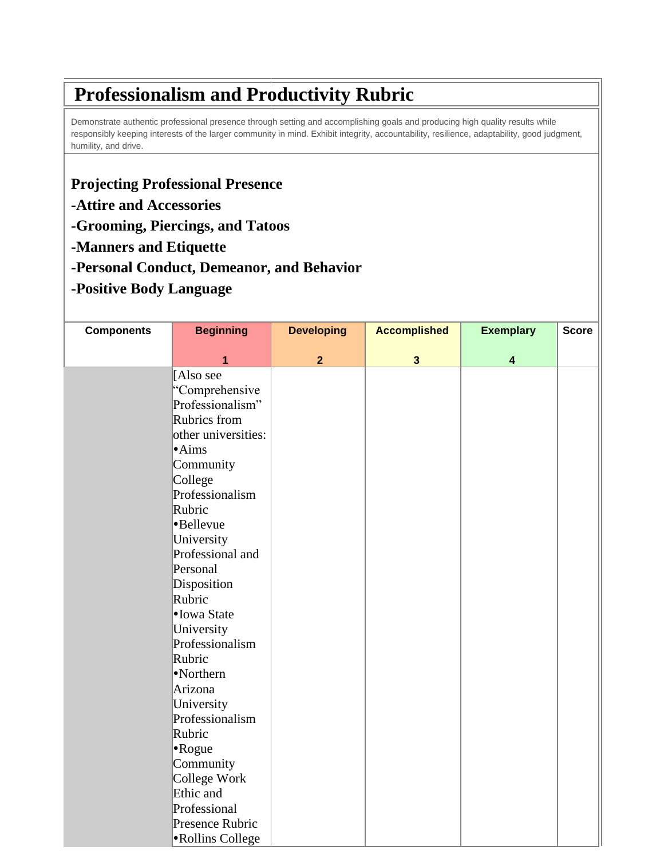## **Professionalism and Productivity Rubric**

Demonstrate authentic professional presence through setting and accomplishing goals and producing high quality results while responsibly keeping interests of the larger community in mind. Exhibit integrity, accountability, resilience, adaptability, good judgment, humility, and drive.

## **Projecting Professional Presence**

- **-Attire and Accessories**
- **-Grooming, Piercings, and Tatoos**
- **-Manners and Etiquette**
- **-Personal Conduct, Demeanor, and Behavior**
- **-Positive Body Language**

| <b>Components</b> | <b>Beginning</b>    | <b>Developing</b> | <b>Accomplished</b>     | <b>Exemplary</b>        | <b>Score</b> |
|-------------------|---------------------|-------------------|-------------------------|-------------------------|--------------|
|                   | 1                   | $\overline{2}$    | $\overline{\mathbf{3}}$ | $\overline{\mathbf{4}}$ |              |
|                   | [Also see           |                   |                         |                         |              |
|                   | "Comprehensive      |                   |                         |                         |              |
|                   | Professionalism"    |                   |                         |                         |              |
|                   | Rubrics from        |                   |                         |                         |              |
|                   | other universities: |                   |                         |                         |              |
|                   | $\cdot$ Aims        |                   |                         |                         |              |
|                   | Community           |                   |                         |                         |              |
|                   | College             |                   |                         |                         |              |
|                   | Professionalism     |                   |                         |                         |              |
|                   | Rubric              |                   |                         |                         |              |
|                   | •Bellevue           |                   |                         |                         |              |
|                   | University          |                   |                         |                         |              |
|                   | Professional and    |                   |                         |                         |              |
|                   | Personal            |                   |                         |                         |              |
|                   | Disposition         |                   |                         |                         |              |
|                   | Rubric              |                   |                         |                         |              |
|                   | • Iowa State        |                   |                         |                         |              |
|                   | University          |                   |                         |                         |              |
|                   | Professionalism     |                   |                         |                         |              |
|                   | Rubric              |                   |                         |                         |              |
|                   | •Northern           |                   |                         |                         |              |
|                   | Arizona             |                   |                         |                         |              |
|                   | University          |                   |                         |                         |              |
|                   | Professionalism     |                   |                         |                         |              |
|                   | Rubric              |                   |                         |                         |              |
|                   | $\bullet$ Rogue     |                   |                         |                         |              |
|                   | Community           |                   |                         |                         |              |
|                   | College Work        |                   |                         |                         |              |
|                   | Ethic and           |                   |                         |                         |              |
|                   | Professional        |                   |                         |                         |              |
|                   | Presence Rubric     |                   |                         |                         |              |
|                   | •Rollins College    |                   |                         |                         |              |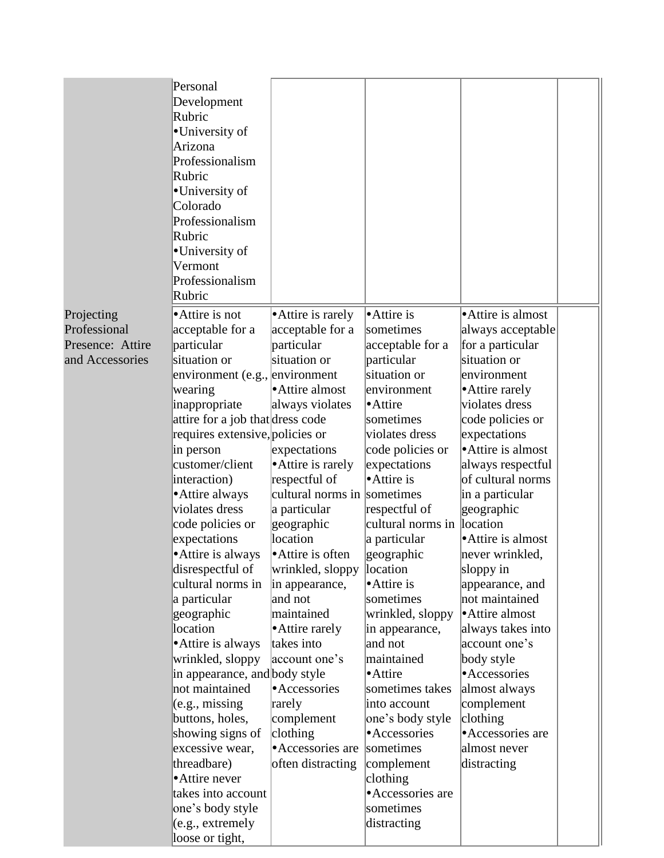|                  | Personal<br>Development<br>Rubric<br>•University of<br>Arizona<br>Professionalism<br>Rubric<br>•University of<br>Colorado<br>Professionalism<br>Rubric<br>•University of<br>Vermont<br>Professionalism<br>Rubric |                             |                        |                             |  |
|------------------|------------------------------------------------------------------------------------------------------------------------------------------------------------------------------------------------------------------|-----------------------------|------------------------|-----------------------------|--|
| Projecting       | • Attire is not                                                                                                                                                                                                  | • Attire is rarely          | • Attire is            | • Attire is almost          |  |
| Professional     | acceptable for a                                                                                                                                                                                                 | acceptable for a            | sometimes              | always acceptable           |  |
| Presence: Attire | particular                                                                                                                                                                                                       | particular                  | acceptable for a       | for a particular            |  |
| and Accessories  | situation or                                                                                                                                                                                                     | situation or                | particular             | situation or                |  |
|                  | environment (e.g., environment                                                                                                                                                                                   |                             | situation or           | environment                 |  |
|                  | wearing                                                                                                                                                                                                          | Attire almost               | environment            | • Attire rarely             |  |
|                  | inappropriate                                                                                                                                                                                                    | always violates             | • Attire               | violates dress              |  |
|                  | attire for a job that dress code                                                                                                                                                                                 |                             | sometimes              | code policies or            |  |
|                  | requires extensive, policies or                                                                                                                                                                                  |                             | violates dress         | expectations                |  |
|                  | in person                                                                                                                                                                                                        | expectations                | code policies or       | • Attire is almost          |  |
|                  | customer/client                                                                                                                                                                                                  | • Attire is rarely          | expectations           | always respectful           |  |
|                  | interaction)                                                                                                                                                                                                     | respectful of               | • Attire is            | of cultural norms           |  |
|                  | • Attire always                                                                                                                                                                                                  | cultural norms in sometimes |                        | in a particular             |  |
|                  | violates dress                                                                                                                                                                                                   | a particular                | respectful of          | geographic                  |  |
|                  | code policies or                                                                                                                                                                                                 | geographic                  | cultural norms in      | location                    |  |
|                  | expectations                                                                                                                                                                                                     | location                    | a particular           | • Attire is almost          |  |
|                  | • Attire is always                                                                                                                                                                                               | • Attire is often           | geographic             | never wrinkled,             |  |
|                  | disrespectful of                                                                                                                                                                                                 | wrinkled, sloppy            | location               | sloppy in                   |  |
|                  | cultural norms in                                                                                                                                                                                                | in appearance,              | • Attire is            | appearance, and             |  |
|                  | a particular                                                                                                                                                                                                     | and not                     | sometimes              | not maintained              |  |
|                  | geographic                                                                                                                                                                                                       | maintained                  | wrinkled, sloppy       | • Attire almost             |  |
|                  | location                                                                                                                                                                                                         | • Attire rarely             | in appearance,         | always takes into           |  |
|                  | • Attire is always                                                                                                                                                                                               | takes into                  | and not                | account one's               |  |
|                  | wrinkled, sloppy                                                                                                                                                                                                 | account one's               | maintained<br>• Attire | body style<br>• Accessories |  |
|                  | in appearance, and body style<br>not maintained                                                                                                                                                                  | • Accessories               | sometimes takes        |                             |  |
|                  | (e.g., missing)                                                                                                                                                                                                  | rarely                      | into account           | almost always<br>complement |  |
|                  | buttons, holes,                                                                                                                                                                                                  | complement                  | one's body style       | clothing                    |  |
|                  | showing signs of                                                                                                                                                                                                 | clothing                    | • Accessories          | • Accessories are           |  |
|                  | excessive wear,                                                                                                                                                                                                  | • Accessories are           | sometimes              | almost never                |  |
|                  | threadbare)                                                                                                                                                                                                      | often distracting           | complement             | distracting                 |  |
|                  | • Attire never                                                                                                                                                                                                   |                             | clothing               |                             |  |
|                  | takes into account                                                                                                                                                                                               |                             | • Accessories are      |                             |  |
|                  | one's body style                                                                                                                                                                                                 |                             | sometimes              |                             |  |
|                  | (e.g., extremely                                                                                                                                                                                                 |                             | distracting            |                             |  |
|                  | loose or tight,                                                                                                                                                                                                  |                             |                        |                             |  |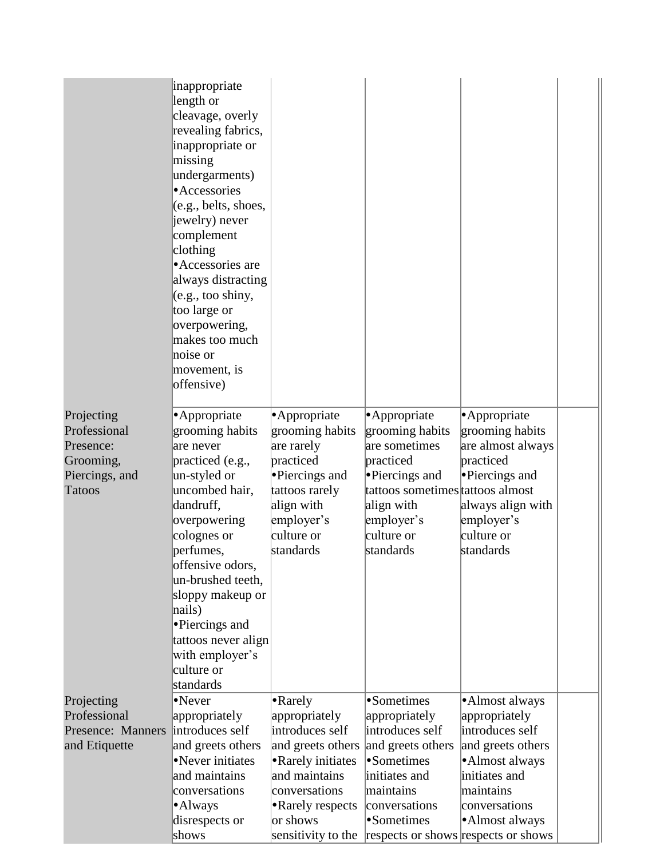|                                   | inappropriate<br>length or<br>cleavage, overly<br>revealing fabrics,<br>inappropriate or<br>missing<br>undergarments)<br>• Accessories<br>(e.g., belts, shoes,<br>jewelry) never<br>complement<br>clothing<br>• Accessories are<br>always distracting<br>(e.g., too~shiny,<br>too large or<br>overpowering,<br>makes too much<br>noise or<br>movement, is<br>offensive) |                                  |                                     |                                  |  |
|-----------------------------------|-------------------------------------------------------------------------------------------------------------------------------------------------------------------------------------------------------------------------------------------------------------------------------------------------------------------------------------------------------------------------|----------------------------------|-------------------------------------|----------------------------------|--|
| Projecting                        | · Appropriate                                                                                                                                                                                                                                                                                                                                                           | • Appropriate                    | • Appropriate                       | • Appropriate                    |  |
| Professional                      | grooming habits                                                                                                                                                                                                                                                                                                                                                         | grooming habits                  | grooming habits                     | grooming habits                  |  |
| Presence:                         | are never                                                                                                                                                                                                                                                                                                                                                               | are rarely                       | are sometimes                       | are almost always                |  |
| Grooming,                         | practiced (e.g.,                                                                                                                                                                                                                                                                                                                                                        | practiced                        | practiced                           | practiced                        |  |
| Piercings, and                    | un-styled or                                                                                                                                                                                                                                                                                                                                                            | •Piercings and                   | • Piercings and                     | • Piercings and                  |  |
| <b>Tatoos</b>                     | uncombed hair,                                                                                                                                                                                                                                                                                                                                                          | tattoos rarely                   | tattoos sometimes tattoos almost    |                                  |  |
|                                   | dandruff,                                                                                                                                                                                                                                                                                                                                                               | align with                       | align with                          | always align with                |  |
|                                   | overpowering                                                                                                                                                                                                                                                                                                                                                            | employer's                       | employer's                          | employer's                       |  |
|                                   | colognes or                                                                                                                                                                                                                                                                                                                                                             | culture or                       | culture or                          | culture or                       |  |
|                                   | perfumes,                                                                                                                                                                                                                                                                                                                                                               | standards                        | standards                           | standards                        |  |
|                                   | offensive odors,                                                                                                                                                                                                                                                                                                                                                        |                                  |                                     |                                  |  |
|                                   | un-brushed teeth,                                                                                                                                                                                                                                                                                                                                                       |                                  |                                     |                                  |  |
|                                   | sloppy makeup or                                                                                                                                                                                                                                                                                                                                                        |                                  |                                     |                                  |  |
|                                   | nails)                                                                                                                                                                                                                                                                                                                                                                  |                                  |                                     |                                  |  |
|                                   | •Piercings and                                                                                                                                                                                                                                                                                                                                                          |                                  |                                     |                                  |  |
|                                   | tattoos never align                                                                                                                                                                                                                                                                                                                                                     |                                  |                                     |                                  |  |
|                                   | with employer's                                                                                                                                                                                                                                                                                                                                                         |                                  |                                     |                                  |  |
|                                   | culture or                                                                                                                                                                                                                                                                                                                                                              |                                  |                                     |                                  |  |
|                                   | standards                                                                                                                                                                                                                                                                                                                                                               |                                  |                                     |                                  |  |
| Projecting                        | •Never                                                                                                                                                                                                                                                                                                                                                                  | $\bullet$ Rarely                 | •Sometimes                          | •Almost always                   |  |
| Professional<br>Presence: Manners | appropriately<br>introduces self                                                                                                                                                                                                                                                                                                                                        | appropriately<br>introduces self | appropriately<br>introduces self    | appropriately<br>introduces self |  |
|                                   | and greets others                                                                                                                                                                                                                                                                                                                                                       | and greets others                |                                     | and greets others                |  |
| and Etiquette                     | •Never initiates                                                                                                                                                                                                                                                                                                                                                        | • Rarely initiates               | and greets others<br>•Sometimes     | •Almost always                   |  |
|                                   | and maintains                                                                                                                                                                                                                                                                                                                                                           | and maintains                    | initiates and                       | initiates and                    |  |
|                                   | conversations                                                                                                                                                                                                                                                                                                                                                           | conversations                    | maintains                           | maintains                        |  |
|                                   | •Always                                                                                                                                                                                                                                                                                                                                                                 | • Rarely respects                | conversations                       | conversations                    |  |
|                                   | disrespects or                                                                                                                                                                                                                                                                                                                                                          | or shows                         | •Sometimes                          | •Almost always                   |  |
|                                   | shows                                                                                                                                                                                                                                                                                                                                                                   | sensitivity to the               | respects or shows respects or shows |                                  |  |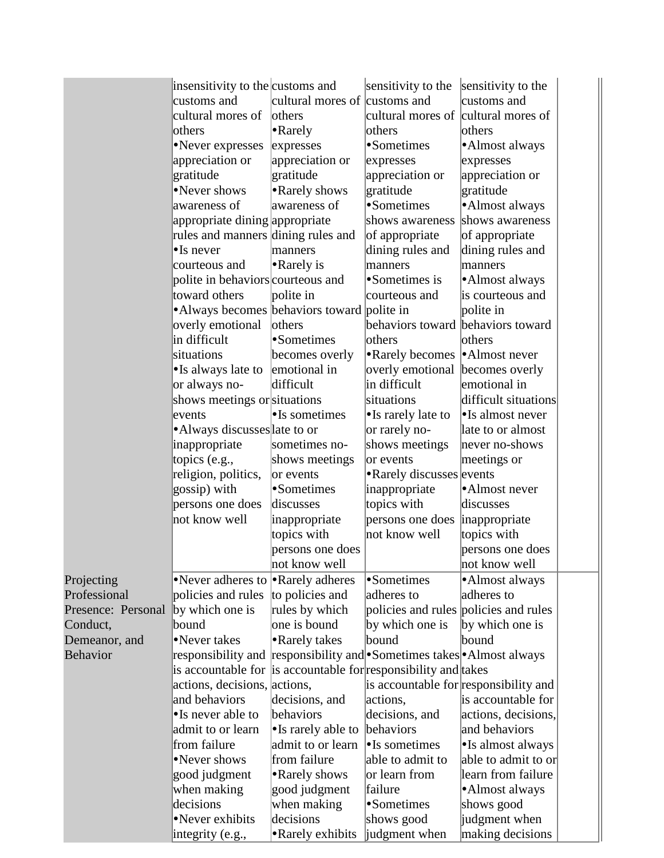|                    | insensitivity to the customs and                                    |                               | sensitivity to the                    | sensitivity to the                    |  |
|--------------------|---------------------------------------------------------------------|-------------------------------|---------------------------------------|---------------------------------------|--|
|                    | customs and                                                         | cultural mores of customs and |                                       | customs and                           |  |
|                    | cultural mores of                                                   | others                        | cultural mores of                     | cultural mores of                     |  |
|                    |                                                                     |                               |                                       |                                       |  |
|                    | others                                                              | • Rarely                      | others                                | others                                |  |
|                    | •Never expresses                                                    | expresses                     | •Sometimes                            | •Almost always                        |  |
|                    | appreciation or                                                     | appreciation or               | expresses                             | expresses                             |  |
|                    | gratitude                                                           | gratitude                     | appreciation or                       | appreciation or                       |  |
|                    | •Never shows                                                        | • Rarely shows                | gratitude                             | gratitude                             |  |
|                    | awareness of                                                        | awareness of                  | •Sometimes                            | ·Almost always                        |  |
|                    | appropriate dining appropriate                                      |                               | shows awareness                       | shows awareness                       |  |
|                    | rules and manners dining rules and                                  |                               | of appropriate                        | of appropriate                        |  |
|                    | $\bullet$ Is never                                                  | manners                       | dining rules and                      | dining rules and                      |  |
|                    | courteous and                                                       | • Rarely is                   | manners                               | manners                               |  |
|                    | polite in behaviors courteous and                                   |                               | •Sometimes is                         | • Almost always                       |  |
|                    | toward others                                                       | polite in                     | courteous and                         | is courteous and                      |  |
|                    | • Always becomes behaviors toward polite in                         |                               |                                       | polite in                             |  |
|                    | overly emotional                                                    | others                        | behaviors toward behaviors toward     |                                       |  |
|                    | in difficult                                                        | •Sometimes                    | others                                | others                                |  |
|                    | situations                                                          | becomes overly                | • Rarely becomes                      | Almost never                          |  |
|                    | •Is always late to                                                  | emotional in                  | overly emotional                      | becomes overly                        |  |
|                    | or always no-                                                       | difficult                     | in difficult                          | emotional in                          |  |
|                    | shows meetings or situations                                        |                               | situations                            | difficult situations                  |  |
|                    | events                                                              | $\bullet$ Is sometimes        | • Is rarely late to                   | • Is almost never                     |  |
|                    | • Always discusses late to or                                       |                               | or rarely no-                         | late to or almost                     |  |
|                    | inappropriate                                                       | sometimes no-                 | shows meetings                        | never no-shows                        |  |
|                    | topics (e.g.,                                                       | shows meetings                | or events                             | meetings or                           |  |
|                    | religion, politics,                                                 | or events                     | • Rarely discusses events             |                                       |  |
|                    | gossip) with                                                        | •Sometimes                    | inappropriate                         | ·Almost never                         |  |
|                    | persons one does                                                    | discusses                     | topics with                           | discusses                             |  |
|                    | not know well                                                       | inappropriate                 | persons one does                      | inappropriate                         |  |
|                    |                                                                     | topics with                   | not know well                         | topics with                           |  |
|                    |                                                                     | persons one does              |                                       | persons one does                      |  |
|                    |                                                                     | not know well                 |                                       | not know well                         |  |
| Projecting         | •Never adheres to •Rarely adheres                                   |                               | •Sometimes                            | •Almost always                        |  |
| Professional       | policies and rules                                                  | to policies and               | adheres to                            | adheres to                            |  |
| Presence: Personal | by which one is                                                     | rules by which                | policies and rules policies and rules |                                       |  |
| Conduct,           | bound                                                               | one is bound                  | by which one is                       | by which one is                       |  |
| Demeanor, and      | •Never takes                                                        | • Rarely takes                | bound                                 | bound                                 |  |
| <b>Behavior</b>    | responsibility and responsibility and Sometimes takes Almost always |                               |                                       |                                       |  |
|                    | is accountable for is accountable for responsibility and takes      |                               |                                       |                                       |  |
|                    | actions, decisions, actions,                                        |                               |                                       | is accountable for responsibility and |  |
|                    | and behaviors                                                       | decisions, and                | actions,                              | is accountable for                    |  |
|                    | •Is never able to                                                   | behaviors                     | decisions, and                        | actions, decisions,                   |  |
|                    | admit to or learn                                                   | • Is rarely able to           | behaviors                             | and behaviors                         |  |
|                    | from failure                                                        | admit to or learn             | $\bullet$ Is sometimes                | •Is almost always                     |  |
|                    | •Never shows                                                        | from failure                  | able to admit to                      | able to admit to or                   |  |
|                    | good judgment                                                       | • Rarely shows                | or learn from                         | learn from failure                    |  |
|                    | when making                                                         | good judgment                 | failure                               | •Almost always                        |  |
|                    | decisions                                                           | when making                   | •Sometimes                            | shows good                            |  |
|                    | •Never exhibits                                                     | decisions                     | shows good                            | judgment when                         |  |
|                    |                                                                     |                               |                                       | making decisions                      |  |
|                    | integrity (e.g.,                                                    | • Rarely exhibits             | judgment when                         |                                       |  |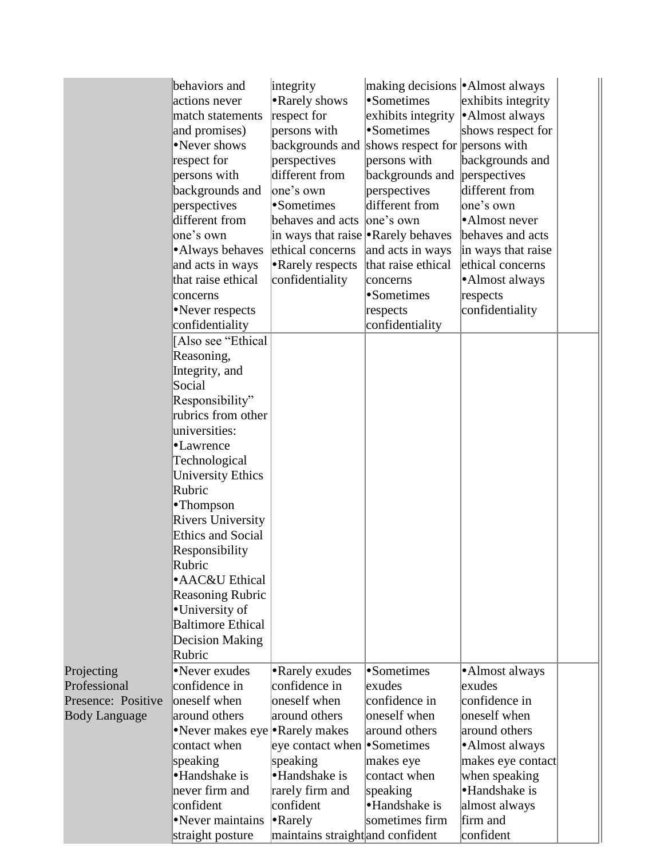| integrity<br>•Sometimes<br>• Rarely shows<br>actions never<br>exhibits integrity<br>respect for<br>exhibits integrity<br>•Almost always<br>match statements<br>•Sometimes<br>persons with<br>and promises)<br>shows respect for<br>•Never shows<br>backgrounds and shows respect for persons with<br>respect for<br>persons with<br>backgrounds and<br>perspectives<br>different from<br>persons with<br>backgrounds and<br>perspectives<br>one's own<br>different from<br>backgrounds and<br>perspectives<br>different from<br>Sometimes<br>perspectives<br>one's own<br>different from<br>lone's own<br>•Almost never<br>behaves and acts<br>one's own<br>in ways that raise • Rarely behaves<br>behaves and acts<br>ethical concerns<br>• Always behaves<br>and acts in ways<br>in ways that raise<br>and acts in ways<br>• Rarely respects<br>that raise ethical<br>ethical concerns<br>that raise ethical<br>confidentiality<br>•Almost always<br>concerns<br>•Sometimes<br>respects<br>concerns<br>confidentiality<br>•Never respects<br>respects<br>confidentiality<br>confidentiality<br>[Also see "Ethical<br>Reasoning,<br>Integrity, and<br>Social<br>Responsibility"<br>rubrics from other<br>universities:<br>•Lawrence<br>Technological<br><b>University Ethics</b><br>Rubric<br>•Thompson |
|----------------------------------------------------------------------------------------------------------------------------------------------------------------------------------------------------------------------------------------------------------------------------------------------------------------------------------------------------------------------------------------------------------------------------------------------------------------------------------------------------------------------------------------------------------------------------------------------------------------------------------------------------------------------------------------------------------------------------------------------------------------------------------------------------------------------------------------------------------------------------------------------------------------------------------------------------------------------------------------------------------------------------------------------------------------------------------------------------------------------------------------------------------------------------------------------------------------------------------------------------------------------------------------------------------|
|                                                                                                                                                                                                                                                                                                                                                                                                                                                                                                                                                                                                                                                                                                                                                                                                                                                                                                                                                                                                                                                                                                                                                                                                                                                                                                          |
|                                                                                                                                                                                                                                                                                                                                                                                                                                                                                                                                                                                                                                                                                                                                                                                                                                                                                                                                                                                                                                                                                                                                                                                                                                                                                                          |
|                                                                                                                                                                                                                                                                                                                                                                                                                                                                                                                                                                                                                                                                                                                                                                                                                                                                                                                                                                                                                                                                                                                                                                                                                                                                                                          |
|                                                                                                                                                                                                                                                                                                                                                                                                                                                                                                                                                                                                                                                                                                                                                                                                                                                                                                                                                                                                                                                                                                                                                                                                                                                                                                          |
|                                                                                                                                                                                                                                                                                                                                                                                                                                                                                                                                                                                                                                                                                                                                                                                                                                                                                                                                                                                                                                                                                                                                                                                                                                                                                                          |
|                                                                                                                                                                                                                                                                                                                                                                                                                                                                                                                                                                                                                                                                                                                                                                                                                                                                                                                                                                                                                                                                                                                                                                                                                                                                                                          |
|                                                                                                                                                                                                                                                                                                                                                                                                                                                                                                                                                                                                                                                                                                                                                                                                                                                                                                                                                                                                                                                                                                                                                                                                                                                                                                          |
|                                                                                                                                                                                                                                                                                                                                                                                                                                                                                                                                                                                                                                                                                                                                                                                                                                                                                                                                                                                                                                                                                                                                                                                                                                                                                                          |
|                                                                                                                                                                                                                                                                                                                                                                                                                                                                                                                                                                                                                                                                                                                                                                                                                                                                                                                                                                                                                                                                                                                                                                                                                                                                                                          |
|                                                                                                                                                                                                                                                                                                                                                                                                                                                                                                                                                                                                                                                                                                                                                                                                                                                                                                                                                                                                                                                                                                                                                                                                                                                                                                          |
|                                                                                                                                                                                                                                                                                                                                                                                                                                                                                                                                                                                                                                                                                                                                                                                                                                                                                                                                                                                                                                                                                                                                                                                                                                                                                                          |
|                                                                                                                                                                                                                                                                                                                                                                                                                                                                                                                                                                                                                                                                                                                                                                                                                                                                                                                                                                                                                                                                                                                                                                                                                                                                                                          |
|                                                                                                                                                                                                                                                                                                                                                                                                                                                                                                                                                                                                                                                                                                                                                                                                                                                                                                                                                                                                                                                                                                                                                                                                                                                                                                          |
|                                                                                                                                                                                                                                                                                                                                                                                                                                                                                                                                                                                                                                                                                                                                                                                                                                                                                                                                                                                                                                                                                                                                                                                                                                                                                                          |
|                                                                                                                                                                                                                                                                                                                                                                                                                                                                                                                                                                                                                                                                                                                                                                                                                                                                                                                                                                                                                                                                                                                                                                                                                                                                                                          |
|                                                                                                                                                                                                                                                                                                                                                                                                                                                                                                                                                                                                                                                                                                                                                                                                                                                                                                                                                                                                                                                                                                                                                                                                                                                                                                          |
|                                                                                                                                                                                                                                                                                                                                                                                                                                                                                                                                                                                                                                                                                                                                                                                                                                                                                                                                                                                                                                                                                                                                                                                                                                                                                                          |
|                                                                                                                                                                                                                                                                                                                                                                                                                                                                                                                                                                                                                                                                                                                                                                                                                                                                                                                                                                                                                                                                                                                                                                                                                                                                                                          |
|                                                                                                                                                                                                                                                                                                                                                                                                                                                                                                                                                                                                                                                                                                                                                                                                                                                                                                                                                                                                                                                                                                                                                                                                                                                                                                          |
|                                                                                                                                                                                                                                                                                                                                                                                                                                                                                                                                                                                                                                                                                                                                                                                                                                                                                                                                                                                                                                                                                                                                                                                                                                                                                                          |
|                                                                                                                                                                                                                                                                                                                                                                                                                                                                                                                                                                                                                                                                                                                                                                                                                                                                                                                                                                                                                                                                                                                                                                                                                                                                                                          |
|                                                                                                                                                                                                                                                                                                                                                                                                                                                                                                                                                                                                                                                                                                                                                                                                                                                                                                                                                                                                                                                                                                                                                                                                                                                                                                          |
|                                                                                                                                                                                                                                                                                                                                                                                                                                                                                                                                                                                                                                                                                                                                                                                                                                                                                                                                                                                                                                                                                                                                                                                                                                                                                                          |
|                                                                                                                                                                                                                                                                                                                                                                                                                                                                                                                                                                                                                                                                                                                                                                                                                                                                                                                                                                                                                                                                                                                                                                                                                                                                                                          |
|                                                                                                                                                                                                                                                                                                                                                                                                                                                                                                                                                                                                                                                                                                                                                                                                                                                                                                                                                                                                                                                                                                                                                                                                                                                                                                          |
|                                                                                                                                                                                                                                                                                                                                                                                                                                                                                                                                                                                                                                                                                                                                                                                                                                                                                                                                                                                                                                                                                                                                                                                                                                                                                                          |
|                                                                                                                                                                                                                                                                                                                                                                                                                                                                                                                                                                                                                                                                                                                                                                                                                                                                                                                                                                                                                                                                                                                                                                                                                                                                                                          |
|                                                                                                                                                                                                                                                                                                                                                                                                                                                                                                                                                                                                                                                                                                                                                                                                                                                                                                                                                                                                                                                                                                                                                                                                                                                                                                          |
| <b>Rivers University</b>                                                                                                                                                                                                                                                                                                                                                                                                                                                                                                                                                                                                                                                                                                                                                                                                                                                                                                                                                                                                                                                                                                                                                                                                                                                                                 |
| <b>Ethics and Social</b>                                                                                                                                                                                                                                                                                                                                                                                                                                                                                                                                                                                                                                                                                                                                                                                                                                                                                                                                                                                                                                                                                                                                                                                                                                                                                 |
| Responsibility                                                                                                                                                                                                                                                                                                                                                                                                                                                                                                                                                                                                                                                                                                                                                                                                                                                                                                                                                                                                                                                                                                                                                                                                                                                                                           |
| Rubric                                                                                                                                                                                                                                                                                                                                                                                                                                                                                                                                                                                                                                                                                                                                                                                                                                                                                                                                                                                                                                                                                                                                                                                                                                                                                                   |
| • AAC&U Ethical                                                                                                                                                                                                                                                                                                                                                                                                                                                                                                                                                                                                                                                                                                                                                                                                                                                                                                                                                                                                                                                                                                                                                                                                                                                                                          |
| <b>Reasoning Rubric</b>                                                                                                                                                                                                                                                                                                                                                                                                                                                                                                                                                                                                                                                                                                                                                                                                                                                                                                                                                                                                                                                                                                                                                                                                                                                                                  |
| •University of                                                                                                                                                                                                                                                                                                                                                                                                                                                                                                                                                                                                                                                                                                                                                                                                                                                                                                                                                                                                                                                                                                                                                                                                                                                                                           |
| <b>Baltimore Ethical</b>                                                                                                                                                                                                                                                                                                                                                                                                                                                                                                                                                                                                                                                                                                                                                                                                                                                                                                                                                                                                                                                                                                                                                                                                                                                                                 |
| <b>Decision Making</b>                                                                                                                                                                                                                                                                                                                                                                                                                                                                                                                                                                                                                                                                                                                                                                                                                                                                                                                                                                                                                                                                                                                                                                                                                                                                                   |
| Rubric                                                                                                                                                                                                                                                                                                                                                                                                                                                                                                                                                                                                                                                                                                                                                                                                                                                                                                                                                                                                                                                                                                                                                                                                                                                                                                   |
| •Sometimes<br>•Never exudes<br>• Rarely exudes<br>•Almost always<br>Projecting                                                                                                                                                                                                                                                                                                                                                                                                                                                                                                                                                                                                                                                                                                                                                                                                                                                                                                                                                                                                                                                                                                                                                                                                                           |
| confidence in<br>Professional<br>confidence in<br>exudes<br>exudes                                                                                                                                                                                                                                                                                                                                                                                                                                                                                                                                                                                                                                                                                                                                                                                                                                                                                                                                                                                                                                                                                                                                                                                                                                       |
| oneself when<br>confidence in<br>Presence: Positive<br>oneself when<br>confidence in                                                                                                                                                                                                                                                                                                                                                                                                                                                                                                                                                                                                                                                                                                                                                                                                                                                                                                                                                                                                                                                                                                                                                                                                                     |
| oneself when<br>around others<br>around others<br>oneself when<br><b>Body Language</b>                                                                                                                                                                                                                                                                                                                                                                                                                                                                                                                                                                                                                                                                                                                                                                                                                                                                                                                                                                                                                                                                                                                                                                                                                   |
| •Never makes eye • Rarely makes<br>around others<br>around others                                                                                                                                                                                                                                                                                                                                                                                                                                                                                                                                                                                                                                                                                                                                                                                                                                                                                                                                                                                                                                                                                                                                                                                                                                        |
| eye contact when • Sometimes<br>contact when<br>•Almost always                                                                                                                                                                                                                                                                                                                                                                                                                                                                                                                                                                                                                                                                                                                                                                                                                                                                                                                                                                                                                                                                                                                                                                                                                                           |
| speaking<br>speaking<br>makes eye<br>makes eye contact                                                                                                                                                                                                                                                                                                                                                                                                                                                                                                                                                                                                                                                                                                                                                                                                                                                                                                                                                                                                                                                                                                                                                                                                                                                   |
| •Handshake is<br>•Handshake is<br>contact when<br>when speaking                                                                                                                                                                                                                                                                                                                                                                                                                                                                                                                                                                                                                                                                                                                                                                                                                                                                                                                                                                                                                                                                                                                                                                                                                                          |
| •Handshake is<br>never firm and<br>rarely firm and<br>speaking                                                                                                                                                                                                                                                                                                                                                                                                                                                                                                                                                                                                                                                                                                                                                                                                                                                                                                                                                                                                                                                                                                                                                                                                                                           |
| •Handshake is<br>confident<br>confident<br>almost always                                                                                                                                                                                                                                                                                                                                                                                                                                                                                                                                                                                                                                                                                                                                                                                                                                                                                                                                                                                                                                                                                                                                                                                                                                                 |
| •Never maintains<br>$\bullet$ Rarely<br>sometimes firm<br>firm and                                                                                                                                                                                                                                                                                                                                                                                                                                                                                                                                                                                                                                                                                                                                                                                                                                                                                                                                                                                                                                                                                                                                                                                                                                       |
| confident<br>straight posture<br>maintains straight and confident                                                                                                                                                                                                                                                                                                                                                                                                                                                                                                                                                                                                                                                                                                                                                                                                                                                                                                                                                                                                                                                                                                                                                                                                                                        |